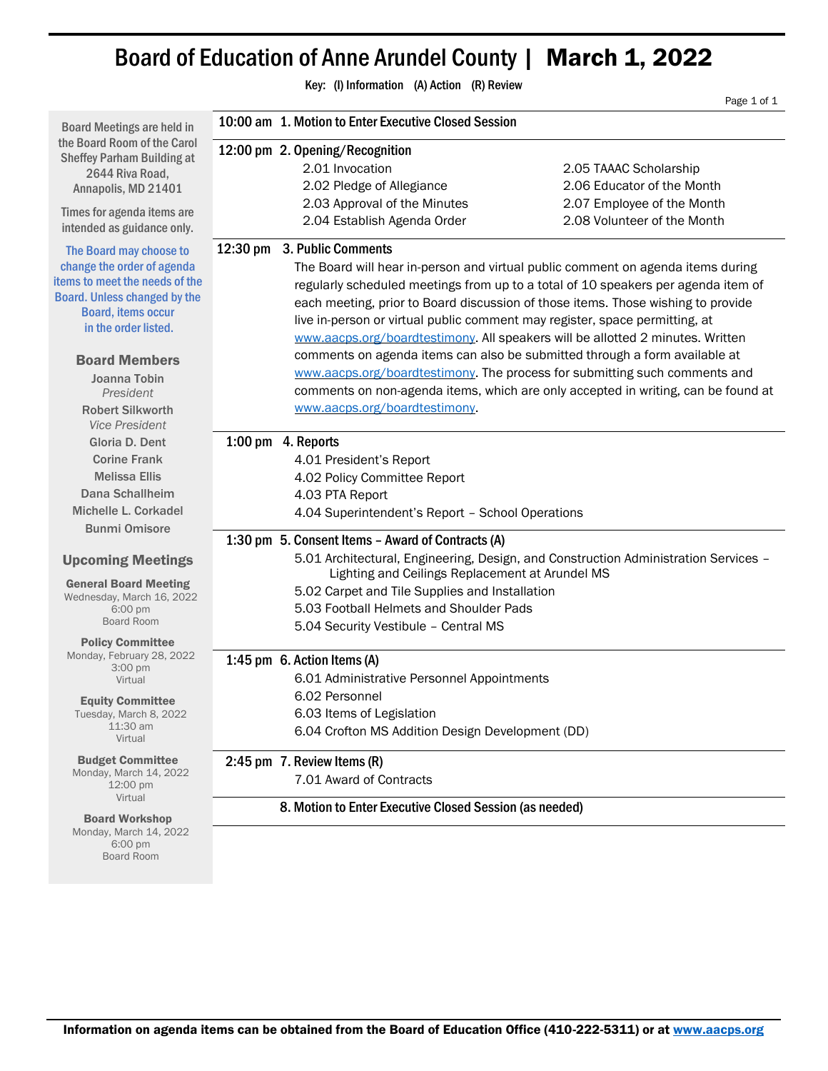## Board of Education of Anne Arundel County | March 1, 2022

Key: (I) Information (A) Action (R) Review

Page 1 of 1 Board Meetings are held in the Board Room of the Carol Sheffey Parham Building at 2644 Riva Road, Annapolis, MD 21401 Times for agenda items are intended as guidance only. The Board may choose to change the order of agenda items to meet the needs of the Board. Unless changed by the Board, items occur in the order listed. Board Members Joanna Tobin *President* Robert Silkworth *Vice President* Gloria D. Dent Corine Frank Melissa Ellis Dana Schallheim Michelle L. Corkadel Bunmi Omisore Upcoming Meetings General Board Meeting Wednesday, March 16, 2022 6:00 pm Board Room Policy Committee Monday, February 28, 2022 3:00 pm Virtual Equity Committee Tuesday, March 8, 2022 11:30 am Virtual Budget Committee Monday, March 14, 2022 12:00 pm Virtual Board Workshop 10:00 am 1. Motion to Enter Executive Closed Session 12:00 pm 2. Opening/Recognition 2.01 Invocation 2.05 TAAAC Scholarship 2.02 Pledge of Allegiance 2.06 Educator of the Month 2.03 Approval of the Minutes 2.07 Employee of the Month 2.04 Establish Agenda Order 2.08 Volunteer of the Month 12:30 pm 3. Public Comments The Board will hear in-person and virtual public comment on agenda items during regularly scheduled meetings from up to a total of 10 speakers per agenda item of each meeting, prior to Board discussion of those items. Those wishing to provide live in-person or virtual public comment may register, space permitting, at [www.aacps.org/boardtestimony.](http://www.aacps.org/boardtestimony) All speakers will be allotted 2 minutes. Written comments on agenda items can also be submitted through a form available at [www.aacps.org/boardtestimony.](http://www.aacps.org/boardtestimony) The process for submitting such comments and comments on non-agenda items, which are only accepted in writing, can be found at [www.aacps.org/boardtestimony.](http://www.aacps.org/boardtestimony) 1:00 pm 4. Reports 4.01 President's Report 4.02 Policy Committee Report 4.03 PTA Report 4.04 Superintendent's Report – School Operations 1:30 pm 5. Consent Items – Award of Contracts (A) 5.01 Architectural, Engineering, Design, and Construction Administration Services – Lighting and Ceilings Replacement at Arundel MS 5.02 Carpet and Tile Supplies and Installation 5.03 Football Helmets and Shoulder Pads 5.04 Security Vestibule – Central MS 1:45 pm 6. Action Items (A) 6.01 Administrative Personnel Appointments 6.02 Personnel 6.03 Items of Legislation 6.04 Crofton MS Addition Design Development (DD) 2:45 pm 7. Review Items (R) 7.01 Award of Contracts 8. Motion to Enter Executive Closed Session (as needed)

Monday, March 14, 2022 6:00 pm Board Room